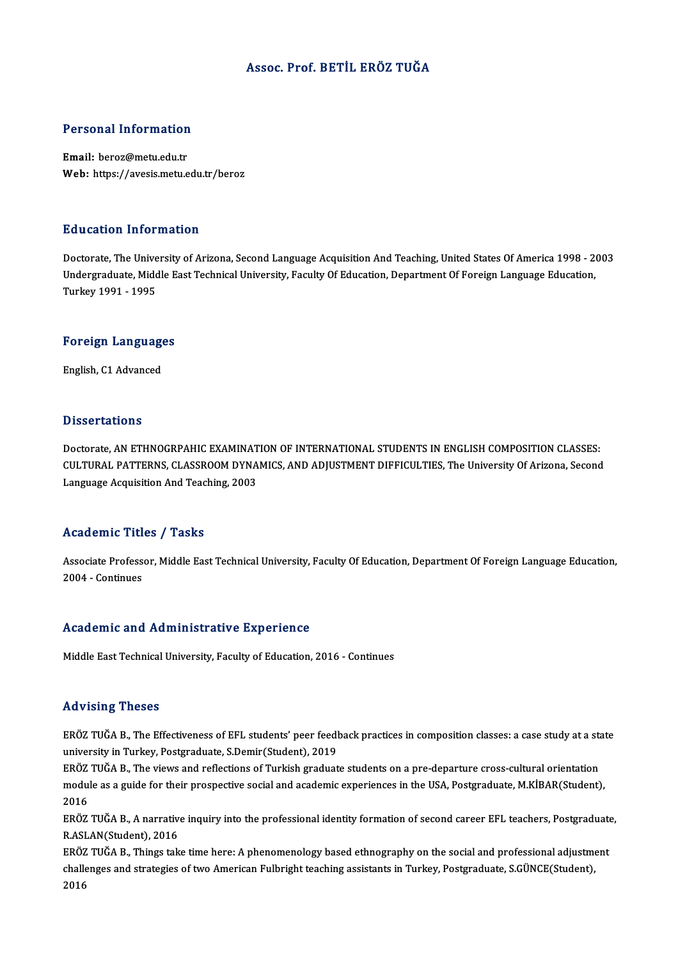#### Assoc. Prof. BETİL ERÖZ TUĞA

# Personal Information

Personal Information<br>Email: beroz@metu.edu.tr<br>Web: bttps://avesis.metu.e Email: beroz@metu.edu.tr<br>Web: https://avesis.metu.edu.tr/beroz

#### Education Information

Education Information<br>Doctorate, The University of Arizona, Second Language Acquisition And Teaching, United States Of America 1998 - 2003<br>Undergraduate Middle Fest Technical University, Faculty Of Education Department Of Du d'outron Timor inderon<br>Doctorate, The University of Arizona, Second Language Acquisition And Teaching, United States Of America 1998 - 2<br>Undergraduate, Middle East Technical University, Faculty Of Education, Department Doctorate, The Unive<br>Undergraduate, Midc<br>Turkey 1991 - 1995

## Turkey 1991 - 1995<br>Foreign Languages <mark>Foreign Languag</mark>e<br>English, C1 Advanced

English, C1 Advanced<br>Dissertations

Doctorate, AN ETHNOGRPAHIC EXAMINATION OF INTERNATIONAL STUDENTS IN ENGLISH COMPOSITION CLASSES: D'ISSOT CATIONS<br>Doctorate, AN ETHNOGRPAHIC EXAMINATION OF INTERNATIONAL STUDENTS IN ENGLISH COMPOSITION CLASSES:<br>CULTURAL PATTERNS, CLASSROOM DYNAMICS, AND ADJUSTMENT DIFFICULTIES, The University Of Arizona, Second Doctorate, AN ETHNOGRPAHIC EXAMINAT<br>CULTURAL PATTERNS, CLASSROOM DYNA<br>Language Acquisition And Teaching, 2003 Language Acquisition And Teaching, 2003<br>Academic Titles / Tasks

Academic Titles / Tasks<br>Associate Professor, Middle East Technical University, Faculty Of Education, Department Of Foreign Language Education,<br>2004 - Continues Associate Profess<br>2004 - Continues

# 2004 - Continues<br>Academic and Administrative Experience

Middle East Technical University, Faculty of Education, 2016 - Continues

#### Advising Theses

Advising Theses<br>ERÖZ TUĞA B., The Effectiveness of EFL students' peer feedback practices in composition classes: a case study at a state<br>university in Turkey, Pestsradusta S.Domir(Student), 2019 reavionn<sub>ing</sub> ricoces<br>ERÖZ TUĞA B., The Effectiveness of EFL students' peer feedl<br>university in Turkey, Postgraduate, S.Demir(Student), 2019<br>ERÖZ TUČA B., The views and reflections of Turkish graduat ERÖZ TUĞA B., The Effectiveness of EFL students' peer feedback practices in composition classes: a case study at a sta<br>university in Turkey, Postgraduate, S.Demir(Student), 2019<br>ERÖZ TUĞA B., The views and reflections of T

university in Turkey, Postgraduate, S.Demir(Student), 2019<br>ERÖZ TUĞA B., The views and reflections of Turkish graduate students on a pre-departure cross-cultural orientation<br>module as a guide for their prospective social a ERÖZ<br>modu<br>2016<br>EPÖZ module as a guide for their prospective social and academic experiences in the USA, Postgraduate, M.KİBAR(Student),<br>2016<br>ERÖZ TUĞA B., A narrative inquiry into the professional identity formation of second career EFL teach

2016<br>ERÖZ TUĞA B., A narrativ<br>R.ASLAN(Student), 2016<br>ERÖZ TUĞA B., Things tak ERÖZ TUĞA B., A narrative inquiry into the professional identity formation of second career EFL teachers, Postgraduate<br>R.ASLAN(Student), 2016<br>ERÖZ TUĞA B., Things take time here: A phenomenology based ethnography on the so

R.ASLAN(Student), 2016<br>ERÖZ TUĞA B., Things take time here: A phenomenology based ethnography on the social and professional adjustme<br>challenges and strategies of two American Fulbright teaching assistants in Turkey, Postg ERÖZ<br>challe<br>2016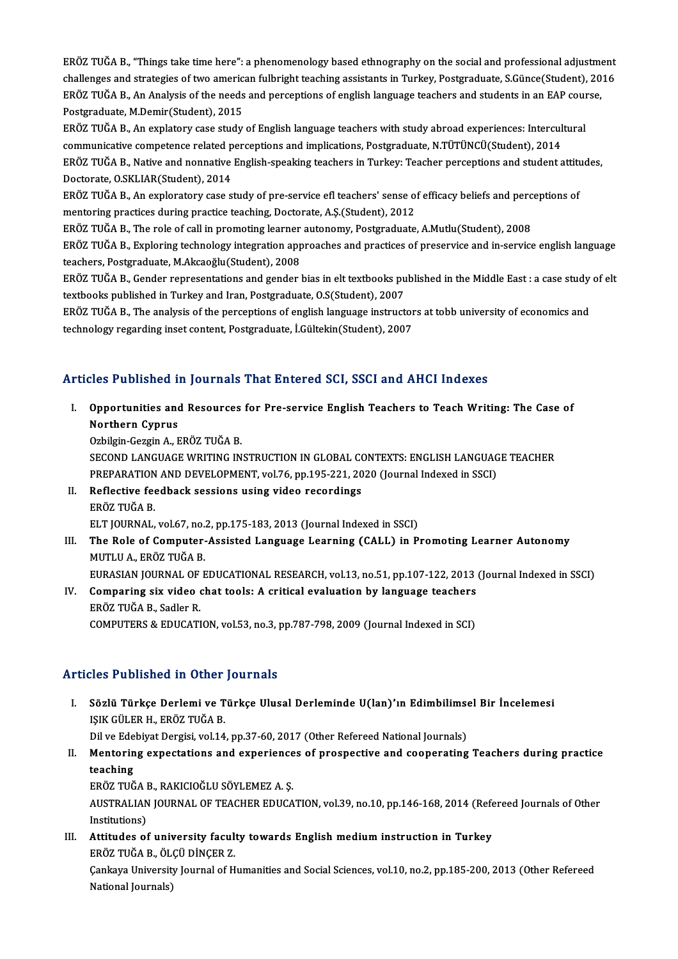eräär<br>ERÖZ TUĞA B., "Things take time here": a phenomenology based ethnography on the social and professional adjustment<br>Abellenges and strategies of two american fulbright togebing assistants in Turkey, Bestgraduate, S.Cü ERÖZ TUĞA B., "Things take time here": a phenomenology based ethnography on the social and professional adjustment<br>challenges and strategies of two american fulbright teaching assistants in Turkey, Postgraduate, S.Günce(St ERÖZ TUĞA B., "Things take time here": a phenomenology based ethnography on the social and professional adjustme<br>challenges and strategies of two american fulbright teaching assistants in Turkey, Postgraduate, S.Günce(Stud challenges and strategies of two american fulbright teaching assistants in Turkey, Postgraduate, S.Günce(Student), 2016<br>ERÖZ TUĞA B., An Analysis of the needs and perceptions of english language teachers and students in an ERÖZ TUĞA B., An Analysis of the needs and perceptions of english language teachers and students in an EAP cour<br>Postgraduate, M.Demir(Student), 2015<br>ERÖZ TUĞA B., An explatory case study of English language teachers with s

Postgraduate, M.Demir(Student), 2015<br>ERÖZ TUĞA B., An explatory case study of English language teachers with study abroad experiences: Intercul<br>communicative competence related perceptions and implications, Postgraduate, N ERÖZ TUĞA B., An explatory case study of English language teachers with study abroad experiences: Intercultural<br>communicative competence related perceptions and implications, Postgraduate, N.TÜTÜNCÜ(Student), 2014<br>ERÖZ TUĞ communicative competence related p<br>ERÖZ TUĞA B., Native and nonnative<br>Doctorate, O.SKLIAR(Student), 2014<br>ERÖZ TUĞA B. An evpleratory 2000 ERÖZ TUĞA B., Native and nonnative English-speaking teachers in Turkey: Teacher perceptions and student attitu<br>Doctorate, O.SKLIAR(Student), 2014<br>ERÖZ TUĞA B., An exploratory case study of pre-service efl teachers' sense o

Doctorate, O.SKLIAR(Student), 2014<br>ERÖZ TUĞA B., An exploratory case study of pre-service efl teachers' sense of efficacy beliefs and perceptions of<br>mentoring practices during practice teaching, Doctorate, A.Ş.(Student), 2 ERÖZ TUĞA B., An exploratory case study of pre-service efl teachers' sense of efficacy beliefs and perc<br>mentoring practices during practice teaching, Doctorate, A.Ş.(Student), 2012<br>ERÖZ TUĞA B., The role of call in promoti

ERÖZ TUĞA B., Exploring technology integration approaches and practices of preservice and in-service english language<br>teachers, Postgraduate, M.Akcaoğlu(Student), 2008 ERÖZ TUĞA B., The role of call in promoting learner<br>ERÖZ TUĞA B., Exploring technology integration app<br>teachers, Postgraduate, M.Akcaoğlu(Student), 2008<br>ERÖZ TUĞA B. Condor representations and sender l ERÖZ TUĞA B., Exploring technology integration approaches and practices of preservice and in-service english language<br>teachers, Postgraduate, M.Akcaoğlu(Student), 2008<br>ERÖZ TUĞA B., Gender representations and gender bias i

teachers, Postgraduate, M.Akcaoğlu(Student), 2008<br>ERÖZ TUĞA B., Gender representations and gender bias in elt textbooks pu<br>textbooks published in Turkey and Iran, Postgraduate, O.S(Student), 2007<br>ERÖZ TUĞA B., The analysis ERÖZ TUĞA B., Gender representations and gender bias in elt textbooks published in the Middle East : a case study<br>textbooks published in Turkey and Iran, Postgraduate, O.S(Student), 2007<br>ERÖZ TUĞA B., The analysis of the p

textbooks published in Turkey and Iran, Postgraduate, O.S(Student), 2007<br>ERÖZ TUĞA B., The analysis of the perceptions of english language instructors at tobb university of economics and<br>technology regarding inset content,

### Articles Published in Journals That Entered SCI, SSCI and AHCI Indexes

rticles Published in Journals That Entered SCI, SSCI and AHCI Indexes<br>I. Opportunities and Resources for Pre-service English Teachers to Teach Writing: The Case of<br>Northern Cunnus nos 1 ashistica<br>1.<br>Northern Cyprus<br>0. Cargin A - L Opportunities and Resources<br>Northern Cyprus<br>Ozbilgin-Gezgin A., ERÖZ TUĞA B.<br>SECOND LANCUACE WEITING IN Northern Cyprus<br>Ozbilgin-Gezgin A., ERÖZ TUĞA B.<br>SECOND LANGUAGE WRITING INSTRUCTION IN GLOBAL CONTEXTS: ENGLISH LANGUAGE TEACHER

Ozbilgin-Gezgin A., ERÖZ TUĞA B.<br>SECOND LANGUAGE WRITING INSTRUCTION IN GLOBAL CONTEXTS: ENGLISH LANGUAG<br>PREPARATION AND DEVELOPMENT, vol.76, pp.195-221, 2020 (Journal Indexed in SSCI)<br>Reflective feedback sessions using vi SECOND LANGUAGE WRITING INSTRUCTION IN GLOBAL CORPORENT, vol.76, pp.195-221, 20<br>II. Reflective feedback sessions using video recordings<br>EPÖZ TUČA P

### PREPARATION<br>Reflective fee<br>ERÖZ TUĞA B.<br>ELT JOUPNAL II. Reflective feedback sessions using video recordings<br>ERÖZ TUĞA B.<br>ELT JOURNAL, vol.67, no.2, pp.175-183, 2013 (Journal Indexed in SSCI)

ERÖZ TUĞA B.<br>ELT JOURNAL, vol.67, no.2, pp.175-183, 2013 (Journal Indexed in SSCI)<br>III. The Role of Computer-Assisted Language Learning (CALL) in Promoting Learner Autonomy<br>MITH II A. ERÖZ TUĞA B ELT JOURNAL, vol.67, no.<br>The Role of Computer-<br>MUTLU A., ERÖZ TUĞA B.<br>EURASIAN JOURNAL OF E The Role of Computer-Assisted Language Learning (CALL) in Promoting Learner Autonomy<br>MUTLU A., ERÖZ TUĞA B.<br>EURASIAN JOURNAL OF EDUCATIONAL RESEARCH, vol.13, no.51, pp.107-122, 2013 (Journal Indexed in SSCI)<br>Comparing siv

MUTLU A., ERÖZ TUĞA B.<br>EURASIAN JOURNAL OF EDUCATIONAL RESEARCH, vol.13, no.51, pp.107-122, 2013<br>IV. Comparing six video chat tools: A critical evaluation by language teachers<br>EPÖZ TUČA B. Sodlar P. EURASIAN JOURNAL OF<br>Comparing six video<br>ERÖZ TUĞA B., Sadler R.<br>COMPUTERS & EDUCATI ERÖZ TUĞA B., Sadler R.<br>COMPUTERS & EDUCATION, vol.53, no.3, pp.787-798, 2009 (Journal Indexed in SCI)

#### Articles Published in Other Journals

rticles Published in Other Journals<br>I. Sözlü Türkçe Derlemi ve Türkçe Ulusal Derleminde U(lan)'ın Edimbilimsel Bir İncelemesi<br>ISIK CÜLER H. ERÖZ TUČA R ISIST ABIBIKA IN SERIK<br>Sözlü Türkçe Derlemi ve T<br>IŞIK GÜLER H., ERÖZ TUĞA B.<br>Dil*ye Edebiyat* Dergisi vel 14 Sözlü Türkçe Derlemi ve Türkçe Ulusal Derleminde U(lan)'ın Edimbilimse<br>IŞIK GÜLER H., ERÖZ TUĞA B.<br>Dil ve Edebiyat Dergisi, vol.14, pp.37-60, 2017 (Other Refereed National Journals)<br>Mentering expectations and experiences o IŞIK GÜLER H., ERÖZ TUĞA B.<br>Dil ve Edebiyat Dergisi, vol.14, pp.37-60, 2017 (Other Refereed National Journals)<br>II. Mentoring expectations and experiences of prospective and cooperating Teachers during practice<br>teaching

## Dil ve Ede<br>Mentorin<br>teaching<br>EPÖZ TUČ Mentoring expectations and experience<br>teaching<br>ERÖZ TUĞA B., RAKICIOĞLU SÖYLEMEZ A. Ş.<br>AUSTRALIAN JOURNAL OF TEACHER EDUCA

teaching<br>ERÖZ TUĞA B., RAKICIOĞLU SÖYLEMEZ A. Ş.<br>AUSTRALIAN JOURNAL OF TEACHER EDUCATION, vol.39, no.10, pp.146-168, 2014 (Refereed Journals of Other ERÖZ TUĞA I<br>AUSTRALIAN<br>Institutions)<br>Attitudes et AUSTRALIAN JOURNAL OF TEACHER EDUCATION, vol.39, no.10, pp.146-168, 2014 (Referristions)<br>III. Attitudes of university faculty towards English medium instruction in Turkey<br>EPÖZ TUČA P. ÖLCÜ DİNGER Z Institutions)<br>III. Attitudes of university faculty towards English medium instruction in Turkey

Çankaya University Journal of Humanities and Social Sciences, vol.10, no.2, pp.185-200, 2013 (Other Refereed<br>National Journals) ERÖZ TUĞA B., ÖLÇÜ DİNÇER Z.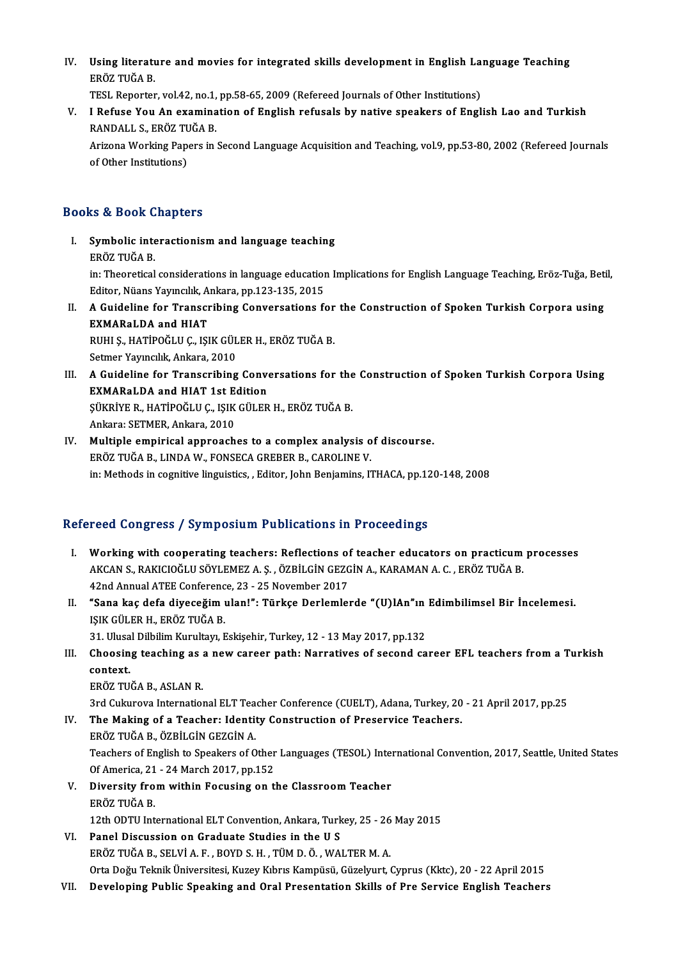IV. Using literature and movies for integrated skills development in English Language Teaching<br>FRÖZ TUČA B Using literatı<br>ERÖZ TUĞA B.<br>TESL Penerter Using literature and movies for integrated skills development in English La<br>ERÖZ TUĞA B.<br>TESL Reporter, vol.42, no.1, pp.58-65, 2009 (Refereed Journals of Other Institutions)<br>L.Bafyae You An examination of English refusels

ERÖZ TUĞA B.<br>TESL Reporter, vol.42, no.1, pp.58-65, 2009 (Refereed Journals of Other Institutions)<br>V. I Refuse You An examination of English refusals by native speakers of English Lao and Turkish<br>RANDALL S. ERÖZ TUĞA B. TESL Reporter, vol.42, no.1,<br>I Refuse You An examina<br>RANDALL S., ERÖZ TUĞA B.<br>Arizona Warking Baners in I Refuse You An examination of English refusals by native speakers of English Lao and Turkish<br>RANDALL S., ERÖZ TUĞA B.<br>Arizona Working Papers in Second Language Acquisition and Teaching, vol.9, pp.53-80, 2002 (Refereed Jou

RANDALL S., ERÖZ TU<br>Arizona Working Pap<br>of Other Institutions)

# of Other Institutions)<br>Books & Book Chapters

- ooks & Book Chapters<br>I. Symbolic interactionism and language teaching<br>FRÖZ TUČA R er a book d<br>Symbolic inte<br>ERÖZ TUĞA B.<br>in: Theoretical Symbolic interactionism and language teaching<br>ERÖZ TUĞA B.<br>in: Theoretical considerations in language education Implications for English Language Teaching, Eröz-Tuğa, Betil,<br>Editor Nüans Yaungkk, Ankana nn 122,125, 2015 ERÖZ TUĞA B.<br>in: Theoretical considerations in language education<br>Editor, Nüans Yayıncılık, Ankara, pp.123-135, 2015<br>A Guideline for Transeribing Conversations fo in: Theoretical considerations in language education Implications for English Language Teaching, Eröz-Tuğa, Beti<br>Editor, Nüans Yayıncılık, Ankara, pp.123-135, 2015<br>II. A Guideline for Transcribing Conversations for the Con
- Editor, Nüans Yayıncılık, Ankara, pp.123-135, 2015<br>A Guideline for Transcribing Conversations f<br>EXMARaLDA and HIAT A Guideline for Transcribing Conversations for<br>EXMARaLDA and HIAT<br>RUHI Ş., HATİPOĞLU Ç., IŞIK GÜLER H., ERÖZ TUĞA B.<br>Setmer Yaungılık Ankana 2010 RUHI Ş., HATİPOĞLU Ç., IŞIK GÜLER H., ERÖZ TUĞA B.<br>Setmer Yayıncılık, Ankara, 2010

- RUHI Ș., HATİPOĞLU Ç., IŞIK GÜLER H., ERÖZ TUĞA B.<br>Setmer Yayıncılık, Ankara, 2010<br>III. A Guideline for Transcribing Conversations for the Construction of Spoken Turkish Corpora Using<br>EYMARal DA and HIAT 1st Edition Setmer Yayıncılık, Ankara, 2010<br>A Guideline for Transcribing Conve<br>EXMARaLDA and HIAT 1st Edition<br>Süvpiye B. HATİPOĞLU C. ISIK CÜLEP A Guideline for Transcribing Conversations for the<br>EXMARaLDA and HIAT 1st Edition<br>ŞÜKRİYE R., HATİPOĞLU Ç., IŞIK GÜLER H., ERÖZ TUĞA B.<br>Ankara: SETMER Ankara 2010 EXMARaLDA and HIAT 1st Edition<br>ŞÜKRİYE R., HATİPOĞLU Ç., IŞIK GÜLER H., ERÖZ TUĞA B.<br>Ankara: SETMER, Ankara, 2010 SÜKRİYE R., HATİPOĞLU Ç., IŞIK GÜLER H., ERÖZ TUĞA B.<br>Ankara: SETMER, Ankara, 2010<br>IV. Multiple empirical approaches to a complex analysis of discourse.<br>EPÖZ TUĞA B. LINDA W. FONSECA CREBER B. CAROLINE V.
- Ankara: SETMER, Ankara, 2010<br>Multiple empirical approaches to a complex analysis o<br>ERÖZ TUĞA B., LINDA W., FONSECA GREBER B., CAROLINE V.<br>in: Methode in cognitive linguisties . Editor, John Benjamine, 17 ERÖZ TUĞA B., LINDA W., FONSECA GREBER B., CAROLINE V.<br>in: Methods in cognitive linguistics, , Editor, John Benjamins, ITHACA, pp.120-148, 2008

### Refereed Congress / Symposium Publications in Proceedings

- efereed Congress / Symposium Publications in Proceedings<br>I. Working with cooperating teachers: Reflections of teacher educators on practicum processes<br>AKCAN S. RAKICIOČU U SÖVLEMEZ A S. ÖZRU CHALCEZCIN A. KARAMAN A G. ERÖZ ACCA GÖNGEZGŐ / GYMPOSIAM A ABHEARISHS III I TÖCCCAMS.<br>Working with cooperating teachers: Reflections of teacher educators on practicum<br>AKCAN S., RAKICIOĞLU SÖYLEMEZ A. Ş. , ÖZBİLGİN GEZGİN A., KARAMAN A. C. , ERÖZ TUĞA B. Working with cooperating teachers: Reflections of<br>AKCAN S., RAKICIOĞLU SÖYLEMEZ A. Ş. , ÖZBİLGİN GEZG<br>42nd Annual ATEE Conference, 23 - 25 November 2017<br>"Sana kas dafa diyasağım ulanl": Türkse Darlamla AKCAN S., RAKICIOĞLU SÖYLEMEZ A. Ş. , ÖZBİLGİN GEZGİN A., KARAMAN A. C. , ERÖZ TUĞA B.<br>42nd Annual ATEE Conference, 23 - 25 November 2017<br>II. "Sana kaç defa diyeceğim ulan!": Türkçe Derlemlerde "(U)lAn"ın Edimbilimsel Bir
- 42nd Annual ATEE Conferenc<br>"Sana kaç defa diyeceğim ı<br>IŞIK GÜLER H., ERÖZ TUĞA B.<br>21 Hlucal Dilbilim Kurultan E "Sana kaç defa diyeceğim ulan!": Türkçe Derlemlerde "(U)lAn"ın<br>IŞIK GÜLER H., ERÖZ TUĞA B.<br>31. Ulusal Dilbilim Kurultayı, Eskişehir, Turkey, 12 - 13 May 2017, pp.132<br>Chaosing teashing as a navy saroor nath: Narratiyes of s

IŞIK GÜLER H., ERÖZ TUĞA B.<br>31. Ulusal Dilbilim Kurultayı, Eskişehir, Turkey, 12 - 13 May 2017, pp.132<br>III. Choosing teaching as a new career path: Narratives of second career EFL teachers from a Turkish<br>context 31. Ulusal Dilbilim Kurultayı, Eskişehir, Turkey, 12 - 13 May 2017, pp.132<br>Choosing teaching as a new career path: Narratives of second ca<br>context.<br>ERÖZ TUĞA B., ASLAN R. Choosing teaching as a<br>context.<br>ERÖZ TUĞA B., ASLAN R.<br><sup>2nd Culausaus</sup> Internation context.<br>ERÖZ TUĞA B., ASLAN R.<br>3rd Cukurova International ELT Teacher Conference (CUELT), Adana, Turkey, 20 - 21 April 2017, pp.25<br>The Making of a Teachery Identity Construction of Preservice Teachers.

ERÖZ TUĞA B., ASLAN R.<br>3rd Cukurova International ELT Teacher Conference (CUELT), Adana, Turkey, 20<br>IV. The Making of a Teacher: Identity Construction of Preservice Teachers. 3rd Cukurova International ELT Tea<br>The Making of a Teacher: Identi<br>ERÖZ TUĞA B., ÖZBİLGİN GEZGİN A.<br>Teashars of English ta Spaaliars of O

The Making of a Teacher: Identity Construction of Preservice Teachers.<br>ERÖZ TUĞA B., ÖZBİLGİN GEZGİN A.<br>Teachers of English to Speakers of Other Languages (TESOL) International Convention, 2017, Seattle, United States<br>Of A ERÖZ TUĞA B., ÖZBİLGİN GEZGİN A.<br>Teachers of English to Speakers of Other<br>Of America, 21 - 24 March 2017, pp.152<br>Diversity from within Eogusing on t Teachers of English to Speakers of Other Languages (TESOL) Interport Of America, 21 - 24 March 2017, pp.152<br>V. Diversity from within Focusing on the Classroom Teacher<br>EDÖZ TUČA P.

- Of America, 21 24 March 2017, pp.152<br>V. Diversity from within Focusing on the Classroom Teacher<br>ERÖZ TUĞA B. Diversity from within Focusing on the Classroom Teacher<br>ERÖZ TUĞA B.<br>12th ODTU International ELT Convention, Ankara, Turkey, 25 - 26 May 2015<br>Panel Discussion on Cuaduate Studies in the U.S.
- VI. Panel Discussion on Graduate Studies in the U S 12th ODTU International ELT Convention, Ankara, Turkey, 25 - 26<br>Panel Discussion on Graduate Studies in the U S<br>ERÖZ TUĞA B., SELVİ A. F. , BOYD S. H. , TÜM D. Ö. , WALTER M. A.<br>Orta Değu Telmik Üniversitesi Kurey Kıltını Panel Discussion on Graduate Studies in the U S<br>ERÖZ TUĞA B., SELVİ A. F. , BOYD S. H. , TÜM D. Ö. , WALTER M. A.<br>Orta Doğu Teknik Üniversitesi, Kuzey Kıbrıs Kampüsü, Güzelyurt, Cyprus (Kktc), 20 - 22 April 2015<br>Daveloning ERÖZ TUĞA B., SELVİ A. F. , BOYD S. H. , TÜM D. Ö. , WALTER M. A.<br>Orta Doğu Teknik Üniversitesi, Kuzey Kıbrıs Kampüsü, Güzelyurt, Cyprus (Kktc), 20 - 22 April 2015<br>VII. Developing Public Speaking and Oral Presentation
-